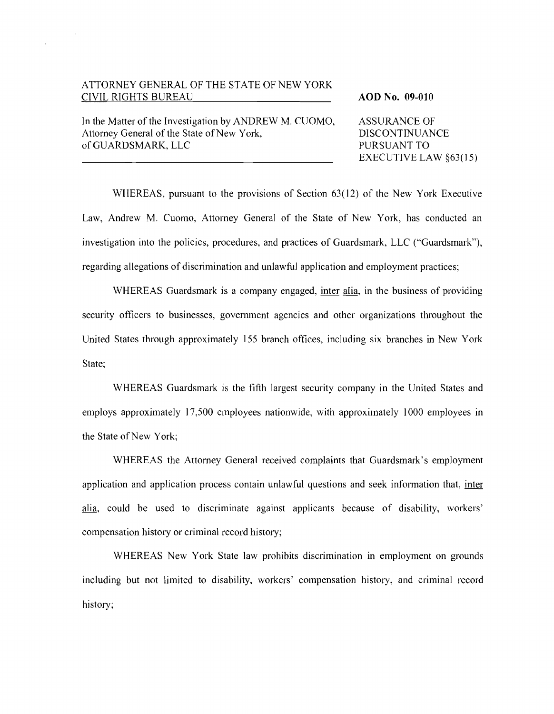# ATTORNEY GENERAL OF THE STATE OF NEW YORK CIVIL RIGHTS BUREAU **AOD** No. **09-010**

In the Matter of the Investigation by ANDREW M. CUOMO, ASSURANCE OF<br>Attorney General of the State of New York. DISCONTINUANCE Attorney General of the State of New York, of GUARDSMARK, LLC PURSUANT TO

EXECUTIVE LAW  $$63(15)$ 

WHEREAS, pursuant to the provisions of Section 63(12) of the New York Executive Law, Andrew M. Cuomo, Attorney General of the State of New York, has conducted an investigation into the policies, procedures, and practices of Guardsmark, LLC ("Guardsmark"), regarding allegations of discrimination and unlawful application and employment practices;

WHEREAS Guardsmark is a company engaged, inter alia, in the business of providing security officers to businesses, government agencies and other organizations throughout the United States through approximately 155 branch offices, including six branches in New York State;

WHEREAS Guardsmark is the fifth largest security company in the United States and employs approximately 17,500 employees nationwide, with approximately 1000 employees in the State of New York;

WHEREAS the Attorney General received complaints that Guardsmark's employment application and application process contain unlawful questions and seek information that, inter alia, could be used to discriminate against applicants because of disability, workers' compensation history or criminal record history;

WHEREAS New York State law prohibits discrimination in employment on grounds including but not limited to disability, workers' compensation history, and criminal record history;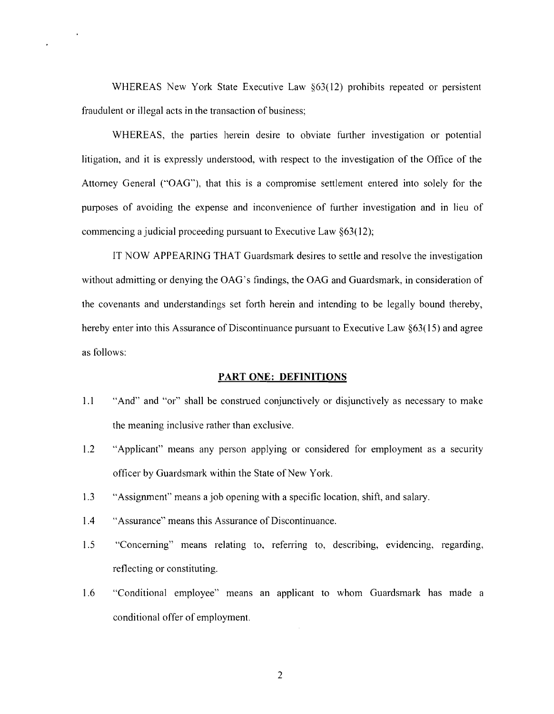WHEREAS New York State Executive Law §63(12) prohibits repeated or persistent fraudulent or illegal acts in the transaction of business;

 $\ddot{\phantom{a}}$ 

WHEREAS, the parties herein desire to obviate further investigation or potential litigation, and it is expressly understood, with respect to the investigation of the Office of the Attomey General ("OAG"), that this is a compromise settlement entered into solely for the purposes of avoiding the expense and inconvenience of further investigation and in lieu of commencing a judicial proceeding pursuant to Executive Law §63( 12);

IT NOW APPEARING THAT Guardsmark desires to settle and resolve the investigation without admitting or denying the OAG's findings, the OAG and Guardsmark, in consideration of the covenants and understandings set forth herein and intending to be legally bound thereby, hereby enter into this Assurance of Discontinuance pursuant to Executive Law §63(15) and agree as follows:

#### **PART ONE: DEFINITIONS**

- 1.1 "And" and "or" shall be construed conjunctively or disjunctively as necessary to make the meaning inclusive rather than exclusive.
- 1.2 "Applicant" means any person applying or considered for employment as a security officer by Guardsmark within the State of New York.
- 1.3 "Assignment" means a job opening with a specific location, shift, and salary.
- 1.4 "Assurance" means this Assurance of Discontinuance.
- 1.5 "Conceming" means relating to, refening to, describing, evidencing, regarding, reflecting or constituting.
- 1.6 "Conditional employee" means an applicant to whom Guardsmark has made a conditional offer of employment.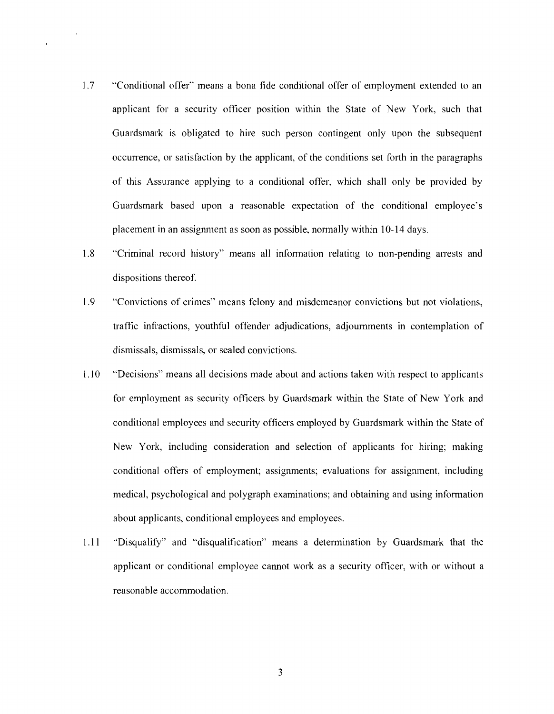- 1.7 "Conditional offer" means a bona fide conditional offer of employment extended to an applicant for a security officer position within the State of New York, such that Guardsmark is obligated to hire such person contingent only upon the subsequent occunence, or satisfaction by the applicant, of the conditions set forth in the paragraphs of this Assurance applying to a conditional offer, which shall only be provided by Guardsmark based upon a reasonable expectation of the conditional employee's placement in an assignment as soon as possible, normally within 10-14 days.
- 1.8 "Criminal record history" means all infonnation relating to non-pending alTests and dispositions thereof.
- 1.9 "Convictions of crimes" means felony and misdemeanor convictions but not violations, traffic infractions, youthful offender adjudications, adjoumments in contemplation of dismissals, dismissals, or sealed convictions.
- 1.10 "Decisions" means all decisions made about and actions taken with respect to applicants for employment as security officers by Guardsmark within the State of New York and conditional employees and security officers employed by Guardsmark within the State of New York, including consideration and selection of applicants for hiring; making conditional offers of employment; assignments; evaluations for assignment, including medical, psychological and polygraph examinations; and obtaining and using information about applicants, conditional employees and employees.
- 1.11 "Disqualify" and "disqualification" means a determination by Guardsmark that the applicant or conditional employee cannot work as a security officer, with or without a reasonable accommodation.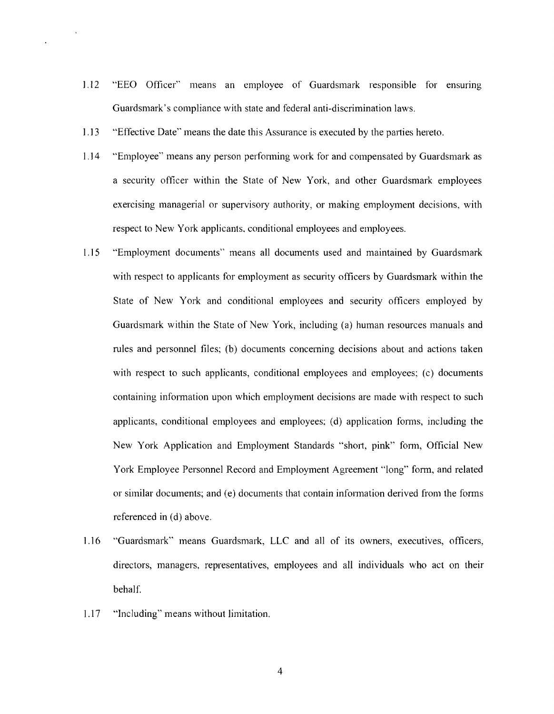- 1.12 "EEO Officer" means an employee of Guardsmark responsible for ensuring Guardsmark's compliance with state and federal anti-discrimination laws.
- 1.13 "Effective Date" means the date this Assurance is executed by the parties hereto.
- 1.]4 "Employee" means any person perfonning work for and compensated by Guardsmark as a security officer within the State of New York, and other Guardsmark employees exercising managerial or supervisory authority, or making employment decisions, with respect to New York applicants, conditional employees and employees.
- 1.15 "Employment documents" means all documents used and maintained by Guardsmark with respect to applicants for employment as security officers by Guardsmark within the State of New York and conditional employees and security officers employed by Guardsmark within the State of New York, including (a) human resources manuals and rules and personnel files; (b) documents conceming decisions about and actions taken with respect to such applicants, conditional employees and employees; (c) documents containing information upon which employment decisions are made with respect to such applicants, conditional employees and employees: (d) application forms, including the New York Application and Employment Standards "short, pink" form, Official New York Employee Personnel Record and Employment Agreement "long" form, and related or similar documents; and (e) documents that contain infonnation derived from the forms referenced in (d) above.
- 1.16 "Guardsmark" means Guardsmark, LLC and all of its owners, executives, officers, directors, managers, representatives, employees and all individuals who act on their behalf.
- 1.17 "Including" means without limitation.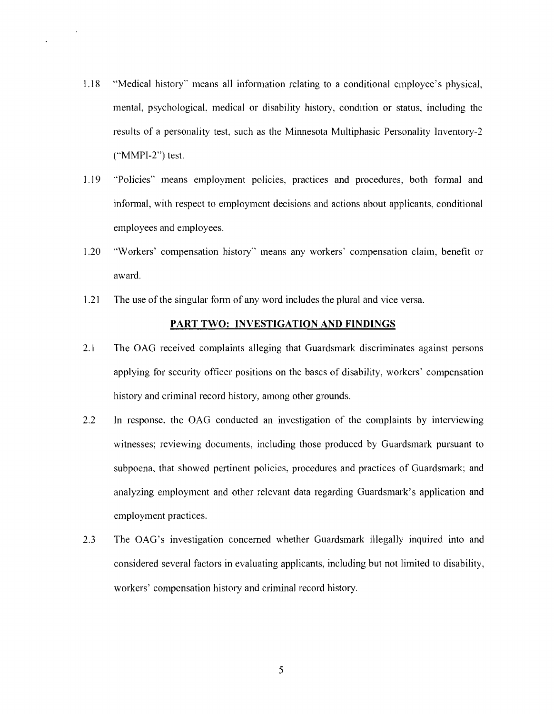- 1.18 "Medical history" means all information relating to a conditional employee's physical. mental, psychologicaL medical or disability history, condition or status, including the results of a personality test, such as the Minnesota Multiphasic Personality Inventory-2 ("MMPI-2") test.
- 1.19 "Policies" means employment policies, practices and procedures, both formal and informal, with respect to employment decisions and actions about applicants, conditional employees and employees.
- 1.20 "Workers' compensation history" means any workers' compensation claim, benefit or award.
- 1.21 The use of the singular form of any word includes the plural and vice versa.

# **PART TWO: INVESTIGATION AND FINDINGS**

- 2.1 The OAG received complaints alleging that Guardsmark discriminates against persons applying for security officer positions on the bases of disability, workers' compensation history and criminal record history, among other grounds.
- 2.2 In response, the OAG conducted an investigation of the complaints by interviewing witnesses; reviewing documents, including those produced by Guardsmark pursuant to subpoena, that showed pertinent policies, procedures and practices of Guardsmark; and analyzing employment and other relevant data regarding Guardsmark's application and employment practices.
- 2.3 The OAG's investigation concerned whether Guardsmark illegally inquired into and considered several factors in evaluating applicants, including but not limited to disability, workers' compensation history and criminal record history.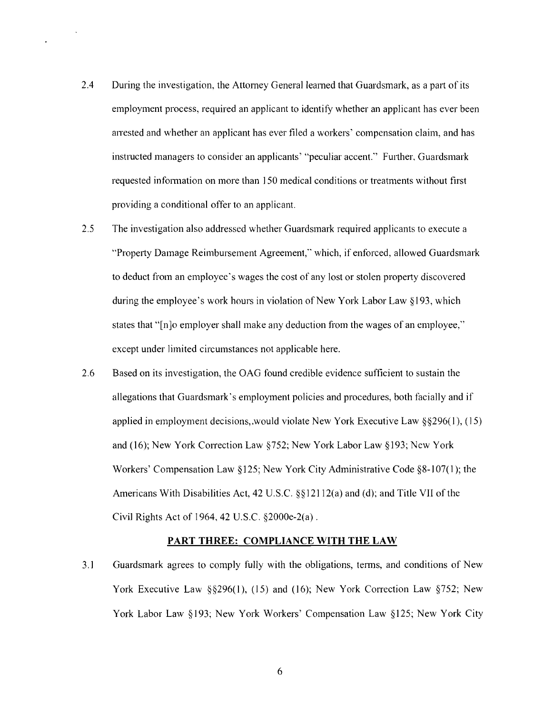- 2.4 During the investigation, the Attorney General learned that Guardsmark, as a part of its employment process, required an applicant to identify whether an applicant has ever been arrested and whether an applicant has ever filed a workers' compensation claim, and has instructed managers to consider an applicants' "peculiar accent." Further, Guardsmark requested information on more than 150 medical conditions or treatments without first providing a conditional offer to an applicant.
- 2.5 The investigation also addressed whether Guardsmark required applicants to execute a "Property Damage Reimbursement Agreement," which, if enforced, allowed Guardsmark to deduct from an employee's wages the cost of any lost or stolen property discovered during the employee's work hours in violation of New York Labor Law §193, which states that "[n]o employer shall make any deduction from the wages of an employee," except under limited circumstances not applicable here.
- 2.6 Based on its investigation, the GAG found credible evidence sufficient to sustain the allegations that Guardsmark' s employment policies and procedures, both facially and if applied in employment decisions,.would violate New York Executive Law §§296(1), (15) and (16); New York Correction Law  $$752$ ; New York Labor Law  $$193$ ; New York Workers' Compensation Law §125; New York City Administrative Code §8-107(1); the Americans With Disabilities Act, 42 U.s.c. §§12112(a) and (d); and Title VII of the Civil Rights Act of 1964, 42 U.S.c. §2000e-2(a) .

## **PART THREE: COMPLIANCE WITH THE LAW**

3.1 Guardsmark agrees to comply fully with the obligations, terms, and conditions of New York Executive Law §§296(1), (15) and (16); New York Correction Law §752; New York Labor Law §193; New York Workers' Compensation Law §125; New York City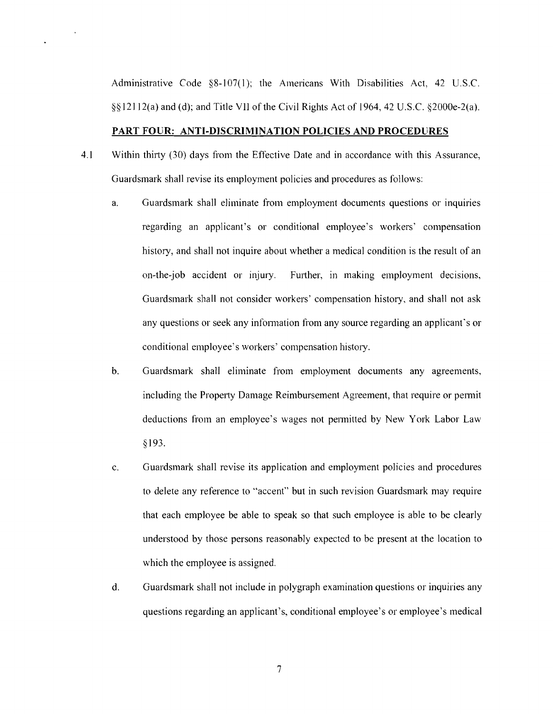Administrative Code §8-107(1); the Americans With Disabilities Act, 42 U.S.C. §§ 12112(a) and (d); and Title VII of the Civil Rights Act of 1964, 42 U.S.c. §2000e-2(a).

## PART FOUR: ANTI-DISCRIMINATION POLICIES AND PROCEDURES

- 4.1 Within thirty (30) days from the Effective Date and in accordance with this Assurance, Guardsmark shall revise its employment policies and procedures as follows:
	- a. Guardsmark shall eliminate from employment documents questions or inquiries regarding an applicant's or conditional employee's workers' compensation history, and shall not inquire about whether a medical condition is the result of an on-the-job accident or injury. Further, in making employment decisions, Guardsmark shall not consider workers' compensation history, and shall not ask any questions or seek any information from any source regarding an applicant's or conditional employee's workers' compensation history.
	- b. Guardsmark shall eliminate from employment documents any agreements, including the Property Damage Reimbursement Agreement, that require or permit deductions from an employee's wages not pennitted by New York Labor Law §193.
	- c. Guardsmark shall revise its application and employment policies and procedures to delete any reference to "accent" but in such revision Guardsmark may require that each employee be able to speak so that such employee is able to be clearly understood by those persons reasonably expected to be present at the location to which the employee is assigned.
	- d. Guardsmark shall not include in polygraph examination questions or inquiries any questions regarding an applicant's, conditional employee's or employee's medical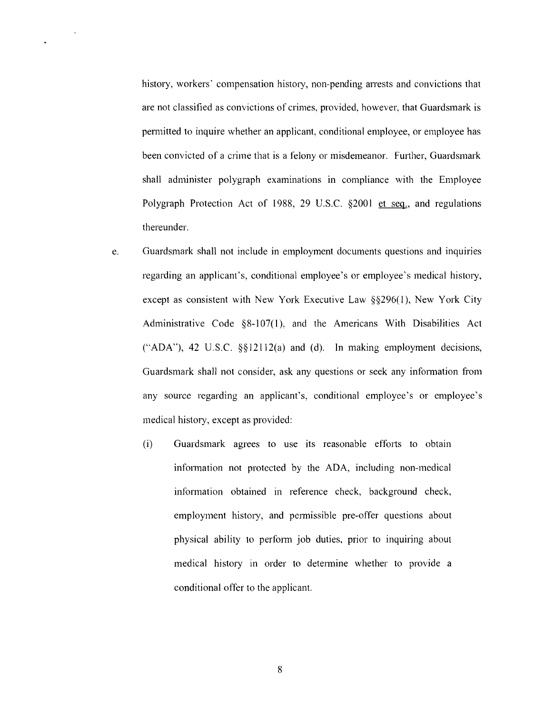history, workers' compensation history, non-pending anests and convictions that are not classified as convictions of crimes, provided, however, that Guardsmark is pem1itted to inquire whether an applicant, conditional employee, or employee has been convicted of a crime that is a felony or misdemeanor. Further, Guardsmark shall administer polygraph examinations in compliance with the Employee Polygraph Protection Act of 1988, 29 U.S.C. §2001 et seq., and regulations thereunder.

- e. Guardsmark shall not include in employment documents questions and inquiries regarding an applicant's, conditional employee's or employee's medical history, except as consistent with New York Executive Law §§296(1), New York City Administrative Code  $\S8-107(1)$ , and the Americans With Disabilities Act ("ADA"), 42 U.S.C. §§ 12112(a) and (d). In making employment decisions, Guardsmark shall not consider, ask any questions or seek any infonnation from any source regarding an applicant's, conditional employee's or employee's medical history, except as provided:
	- (i) Guardsmark agrees to use its reasonable efforts to obtain infonnation not protected by the ADA, including non-medical information obtained in reference check, background check, employment history, and permissible pre-offer questions about physical ability to perform job duties, prior to inquiring about medical history in order to detennine whether to provide a conditional offer to the applicant.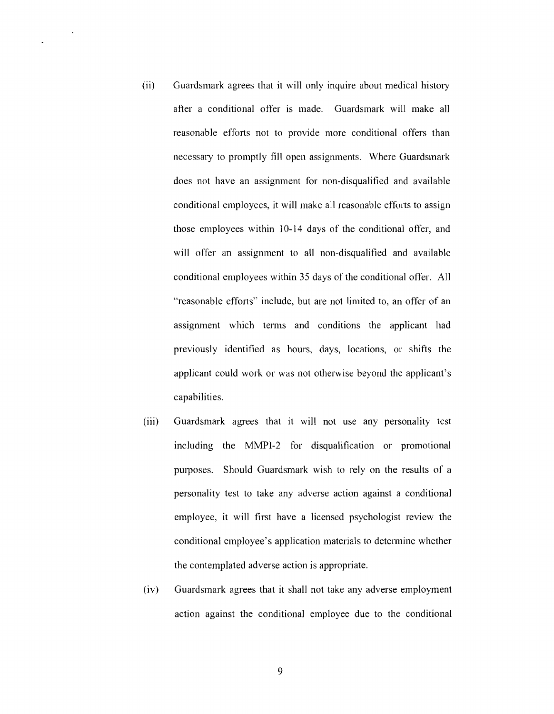- (ii) Guardsmark agrees that it will only inquire about medical history after a conditional offer is made. Guardsmark will make all reasonable efforts not to provide more conditional offers than necessary to promptly fill open assignments. Where Guardsmark does not have an assigmnent for non-disqualified and available conditional employees, it will make all reasonable efforts to assign those employees within 10-14 days of the conditional offer, and will offer an assignment to all non-disqualified and available conditional employees within 35 days of the conditional offer. All "reasonable efforts" include, but are not limited to, an offer of an assigmnent which tenns and conditions the applicant had previously identified as hours, days, locations, or shifts the applicant could work or was not otherwise beyond the applicant's capabilities.
- (iii) Guardsmark agrees that it will not use any personality test including the MMPI-2 for disqualification or promotional purposes. Should Guardsmark wish to rely on the results of a personality test to take any adverse action against a conditional employee, it will first have a licensed psychologist review the conditional employee's application materials to determine whether the contemplated adverse action is appropriate.
- (iv) Guardsmark agrees that it shall not take any adverse employment action against the conditional employee due to the conditional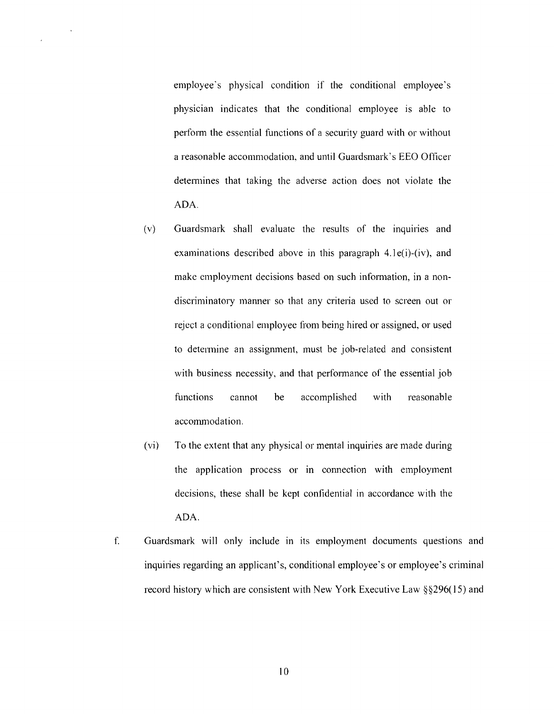employee's physical condition if the conditional employee's physician indicates that the conditional employee is able to perfonn the essential functions of a security guard with or without a reasonable accommodation, and until Guardsmark's EEO Officer detennines that taking the adverse action does not violate the ADA.

 $\ddot{\phantom{a}}$ 

- (v) Guardsmark shall evaluate the results of the inquiries and examinations described above in this paragraph  $4.1$  e(i)-(iv), and make employment decisions based on such information, in a nondiscriminatory manner so that any criteria used to screen out or reject a conditional employee from being hired or assigned, or used to detennine an assignment, must be job-related and consistent with business necessity, and that performance of the essential job functions cannot be accomplished with reasonable accommodation.
- (vi) To the extent that any physical or mental inquiries are made during the application process or in connection with employment decisions, these shall be kept confidential in accordance with the ADA.
- f. Guardsmark will only include in its employment documents questions and inquiries regarding an applicant's, conditional employee's or employee's criminal record history which are consistent with New York Executive Law §§296(15) and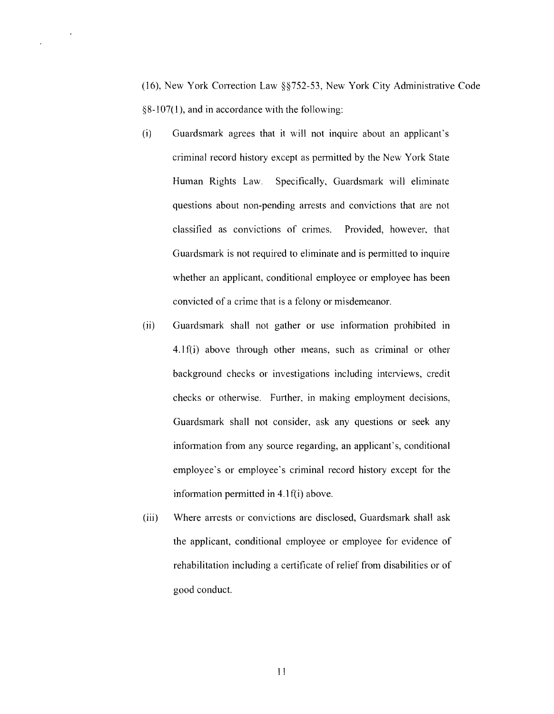(16), New York Correction Law  $\S$  752-53, New York City Administrative Code  $§8-107(1)$ , and in accordance with the following:

 $\overline{\phantom{a}}$ 

- (i) Guardsmark agrees that it will not inquire about an applicant's criminal record history except as permitted by the New York State Human Rights Law. Specifically, Guardsmark will eliminate questions about non-pending arrests and convictions that are not classified as convictions of crimes. Provided, however, that Guardsmark is not required to eliminate and is permitted to inquire whether an applicant, conditional employee or employee has been convicted of a crime that is a felony or misdemeanor.
- (ii) Guardsmark shall not gather or use information prohibited in 4.1 f(i) above through other means, such as criminal or other background checks or investigations including interviews, credit checks or otherwise. Further, in making employment decisions, Guardsmark shall not consider, ask any questions or seek any information from any source regarding, an applicant's, conditional employee's or employee's criminal record history except for the information permitted in  $4.1 f(i)$  above.
- (iii) Where arrests or convictions are disclosed, Guardsmark shall ask the applicant, conditional employee or employee for evidence of rehabilitation including a certificate of relief from disabilities or of good conduct.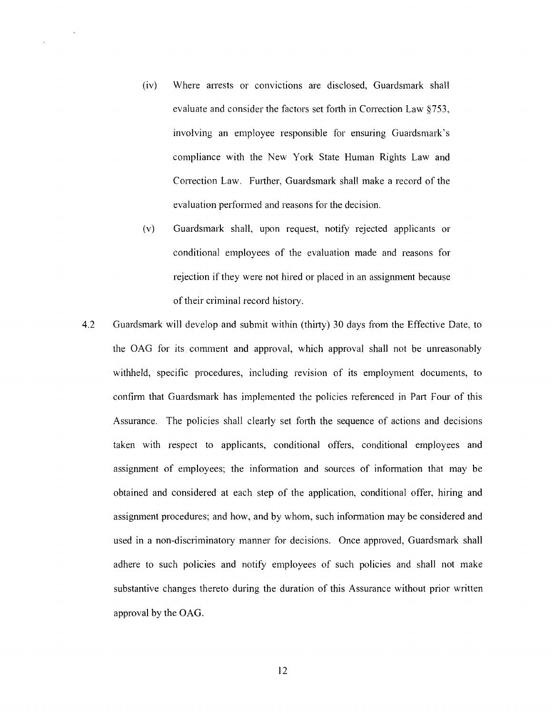- (iv) Where arrests or convictions are disclosed, Guardsmark shall evaluate and consider the factors set forth in Correction Law §753, involving an employee responsible for ensuring Guardsmark's compliance with the New York State Human Rights Law and Correction Law. Further, Guardsmark shall make a record of the evaluation perfonned and reasons for the decision.
- (v) Guardsmark shall, upon request, notify rejected applicants or conditional employees of the evaluation made and reasons for rejection if they were not hired or placed in an assignment because of their criminal record history.
- 4.2 Guardsmark will develop and submit within (thirty) 30 days from the Effective Date, to the OAG for its comment and approval, which approval shall not be unreasonably withheld, specific procedures, including revision of its employment documents, to confirm that Guardsmark has implemented the policies referenced in Part Four of this Assurance. The policies shall clearly set forth the sequence of actions and decisions taken with respect to applicants, conditional offers, conditional employees and assignment of employees; the inf01mation and sources of information that may be obtained and considered at each step of the application, conditional offer, hiring and assignment procedures; and how, and by whom, such information may be considered and used in a non-discriminatory manner for decisions. Once approved, Guardsmark shall adhere to such policies and notify employees of such policies and shall not make substantive changes thereto during the duration of this Assurance without prior written approval by the OAG.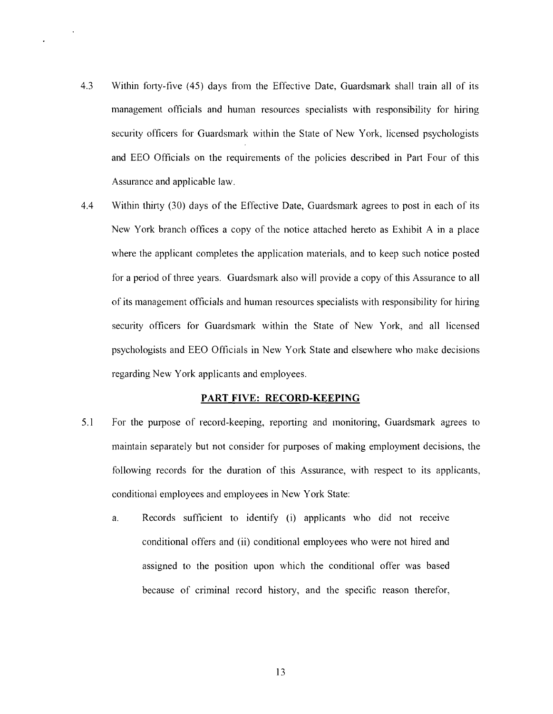- 4.3 Within forty-five (45) days from the Effective Date, Guardsmark shall train all of its management officials and human resources specialists with responsibility for hiring security officers for Guardsmark within the State of New York, licensed psychologists and EEO Officials on the requirements of the policies described in Pm1 Four of this Assurance and applicable law.
- 4.4 Within thirty (30) days of the Effective Date, Guardsmark agrees to post in each of its New York branch offices a copy of the notice attached hereto as Exhibit A in a place where the applicant completes the application materials, and to keep such notice posted for a period of three years. Guardsmark also will provide a copy of this Assurance to all of its management officials and human resources specialists with responsibility for hiring security officers for Guardsmark within the State of New York, and all licensed psychologists and EEO Officials in New York State and elsewhere who make decisions regarding New York applicants and employees.

# **PART FIVE: RECORD-KEEPING**

- 5.1 For the purpose of record-keeping, reporting and monitoring, Guardsmark agrees to maintain separately but not consider for purposes of making employment decisions, the following records for the duration of this Assurance, with respect to its applicants, conditional employees and employees in New York State:
	- a. Records sufficient to identify (i) applicants who did not receive conditional offers and (ii) conditional employees who were not hired and assigned to the position upon which the conditional offer was based because of criminal record history, and the specific reason therefor,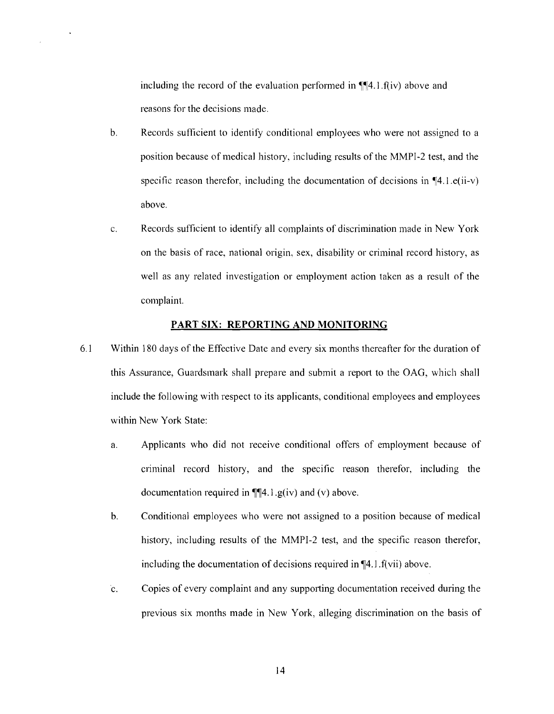including the record of the evaluation performed in  $\P$  $[4.1.f(iv)$  above and reasons for the decisions made.

- b. Records sufficient to identify conditional employees who were not assigned to a position because of medical history, including results of the MMPI-2 test, and the specific reason therefor, including the documentation of decisions in  $\P$ 4.1.e(ii-v) above.
- c. Records sufficient to identify all complaints of discrimination made in New York on the basis of race, national origin, sex, disability or criminal record history, as well as any related investigation or employment action taken as a result of the complaint.

## **PART SIX: REPORTING AND MONITORING**

- 6.1 Within 180 days of the Effective Date and every six months thereafter for the duration of this Assurance, Guardsmark shall prepare and submit a report to the OAG, which shall include the following with respect to its applicants, conditional employees and employees within New York State:
	- a. Applicants who did not receive conditional offers of employment because of criminal record history, and the specific reason therefor, including the documentation required in  $\P\P4.1$ .g(iv) and (v) above.
	- b. Conditional employees who were not assigned to a position because of medical history, including results of the MMPI-2 test, and the specific reason therefor, including the documentation of decisions required in  $\P$ 4.1.f(vii) above.
	- c. Copies of every complaint and any supporting documentation received during the previous six months made in New York, alleging discrimination on the basis of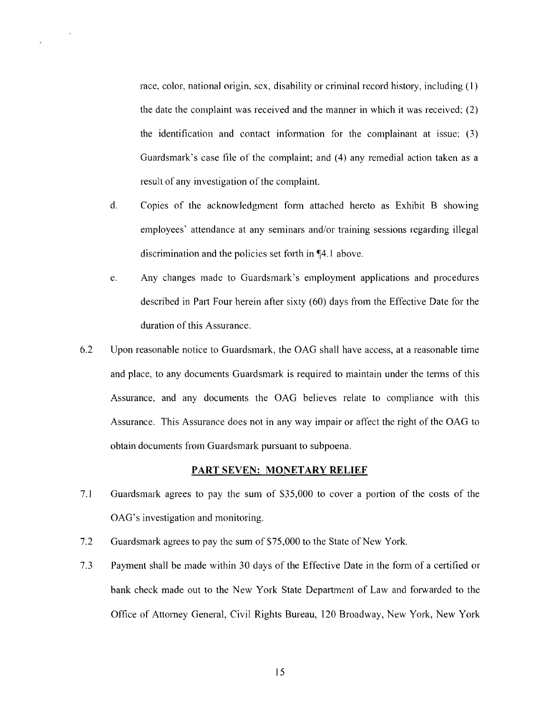race, color, national origin, sex, disability or criminal record history, including (1) the date the complaint was received and the manner in which it was received; (2) the identification and contact infonnation for the complainant at issue; (3) Guardsmark's case tile of the complaint; and (4) any remedial action taken as a result of any investigation of the complaint.

- d. Copies of the acknowledgment form attached hereto as Exhibit B showing employees' attendance at any seminars and/or training sessions regarding illegal discrimination and the policies set forth in  $\P$ 4.1 above.
- e. Any changes made to Guardsmark's employment applications and procedures described in Part Four herein after sixty (60) days from the Effective Date for the duration of this Assurance.
- 6.2 Upon reasonable notice to Guardsmark, the OAG shall have access, at a reasonable time and place, to any documents Guardsmark is required to maintain under the tenns of this Assurance, and any documents the OAG believes relate to compliance with this Assurance. This Assurance does not in any way impair or affect the right of the OAG to obtain documents from Guardsmark pursuant to subpoena.

#### **PART SEVEN: MONETARY RELIEF**

- 7.1 Guardsmark agrees to pay the sum of \$35,000 to cover a portion of the costs of the OAG's investigation and monitoring.
- 7.2 Guardsmark agrees to pay the sum of \$75,000 to the State of New York.
- 7.3 Payment shall be made within 30 days of the Effective Date in the fonn of a certified or bank check made out to the New York State Department of Law and forwarded to the Office of Attomey General, Civil Rights Bureau, 120 Broadway, New York, New York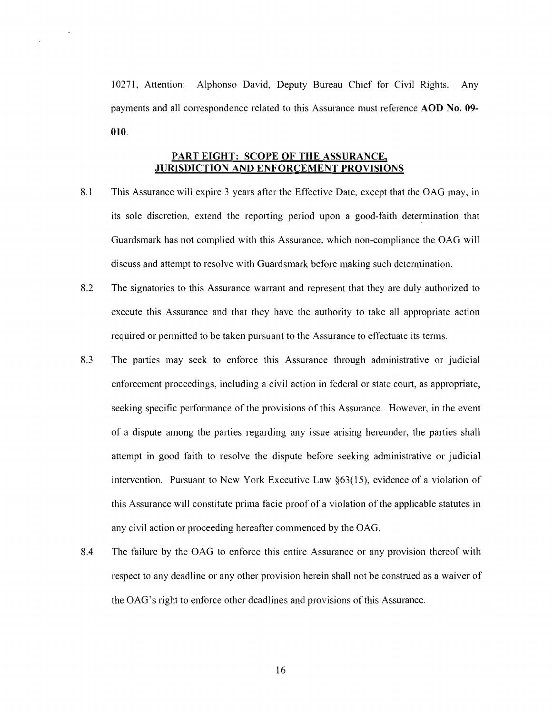10271, Attention: Alphonso David, Deputy Bureau Chief for Civil Rights. Any payments and all correspondence related to this Assurance must reference **AOD No. 09-**010.

# PART EIGHT: SCOPE OF THE ASSURANCE, JURISDICTION AND ENFORCEMENT PROVISIONS

- 8.1 This Assurance will expire 3 years after the Effective Date, except that the OAG may, in its sole discretion, extend the reporting period upon a good-faith determination that Guardsmark has not complied with this Assurance, which non-compliance the GAG will discuss and attempt to resolve with Guardsmark before making such determination.
- 8.2 The signatories to this Assurance warrant and represent that they are duly authorized to execute this Assurance and that they have the authority to take all appropriate action required or permitted to be taken pursuant to the Assurance to effectuate its terms.
- 8.3 The parties may seek to enforce this Assurance through administrative or judicial enforcement proceedings, including a civil action in federal or state court, as appropriate, seeking specific performance of the provisions of this Assurance. However, in the event of a dispute among the parties regarding any issue arising hereunder, the parties shall attempt in good faith to resolve the dispute before seeking administrative or judicial intervention. Pursuant to New York Executive Law §63(l5), evidence of a violation of this Assurance will constitute prima facie proof of a violation of the applicable statutes in any civil action or proceeding hereafter commenced by the GAG.
- 8.4 The failure by the GAG to enforce this entire Assurance or any provision thereof with respect to any deadline or any other provision herein shall not be construed as a waiver of the GAG's right to enforce other deadlines and provisions of this Assurance.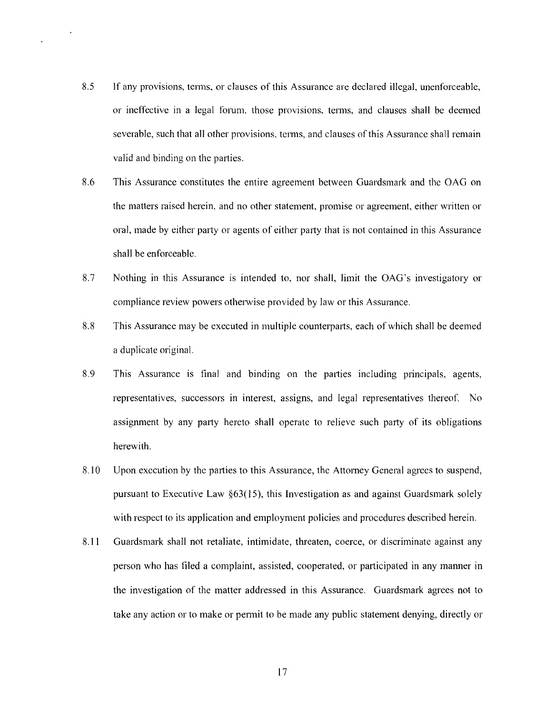8.5 If any provisions, terms, or clauses of this Assurance are declared illegal, unenforceable, or ineffective in a legal forum, those provisions, terms, and clauses shall be deemed severable, such that all other provisions, terms, and clauses of this Assurance shall remain valid and binding on the parties.

 $\bar{\epsilon}$ 

- 8.6 This Assurance constitutes the entire agreement between Guardsmark and the GAG on the matters raised herein, and no other statement, promise or agreement, either written or oral, made by either party or agents of either party that is not contained in this Assurance shall be enforceable.
- 8.7 Nothing in this Assurance is intended to, nor shall, limit the GAG's investigatory or compliance review powers otherwise provided by law or this Assurance.
- 8.8 This Assurance may be executed in multiple counterparts, each of which shall be deemed a duplicate original.
- 8.9 This Assurance is final and binding on the parties including principals, agents, representatives, successors in interest, assigns, and legal representatives thereof. No assignment by any party hereto shall operate to relieve such party of its obligations herewith.
- 8.10 Upon execution by the parties to this Assurance, the Attomey General agrees to suspend, pursuant to Executive Law  $\S 63(15)$ , this Investigation as and against Guardsmark solely with respect to its application and employment policies and procedures described herein.
- 8.11 Guardsmark shall not retaliate, intimidate, threaten, coerce, or discriminate against any person who has filed a complaint, assisted, cooperated, or participated in any manner in the investigation of the matter addressed in this Assurance. Guardsmark agrees not to take any action or to make or pennit to be made any public statement denying, directly or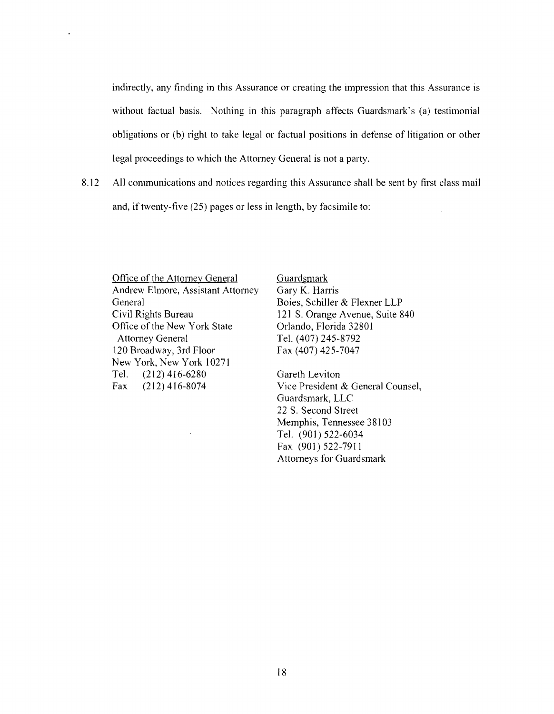indirectly, any finding in this Assurance or creating the impression that this Assurance is without factual basis. Nothing in this paragraph affects Guardsmark's (a) testimonial obligations or (b) right to take legal or factual positions in defense of litigation or other legal proceedings to which the Attorney General is not a party.

8.12 All communications and notices regarding this Assurance shall be sent by first class mail and, if twenty-five (25) pages or less in length, by facsimile to:

Office of the Attorney General Guardsmark Andrew Elmore, Assistant Attorney Gary K. Harris General Boies, Schiller & Flexner LLP Civil Rights Bureau 121 S. Orange Avenue, Suite 840 Office of the New York State Attorney General Tel. (407) 245-8792 120 Broadway, 3rd Floor Fax (407) 425-7047 New York, New York 10271 Tel. (212) 416-6280 Gareth Leviton

l,

Orlando, Florida 32801

Fax (212) 416-8074 Vice President & General Counsel, Guardsmark, LLC 22 S. Second Street Memphis, Tennessee 38103 Tel. (901) 522-6034 Fax (901) 522-7911 Attorneys for Guardsmark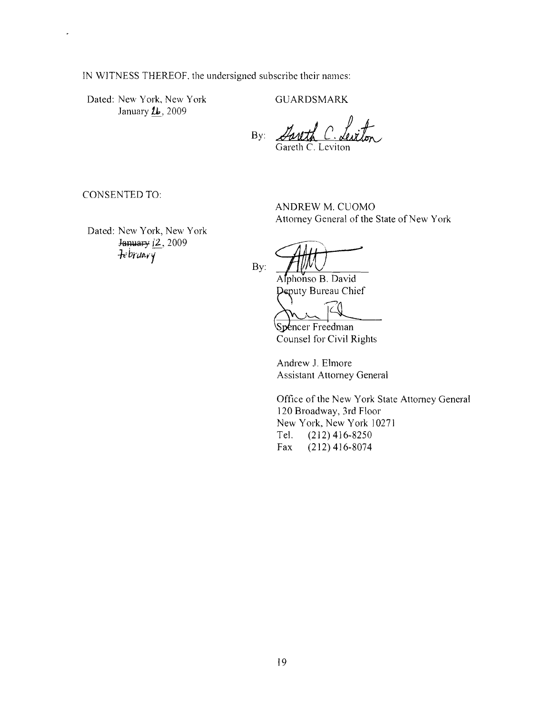IN WITNESS THEREOF, the undersigned subscribe their names:

Dated: New York, New York GUARDSMARK January  $\mu$ , 2009

By: *Lanth C. Leviton* Gareth C. Leviton

CONSENTED TO:

 $\ddot{\phantom{1}}$ 

Dated: New York, New York January (2, 2009)  $:tebruar$ 

ANDREW M. CUOMO Attorney General of the State of New York

By:

Alphonso B. David Deputy Bureau Chief

Spencer Freedman Counsel for Civil Rights

Andrew J. Elmore Assistant Attorney General

Office of the New York State Attorney General 120 Broadway, 3rd Floor New York, New York 10271 Tel. (212) 416-8250 Fax (212)416-8074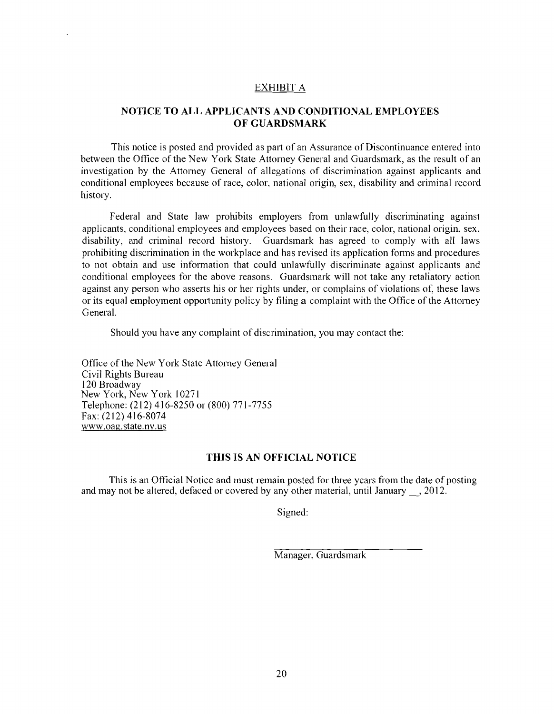#### EXHIBIT A

# **NOTICE TO ALL APPLICANTS AND CONDITIONAL EMPLOYEES OF GUARDSMARK**

This notice is posted and provided as part of an Assurance of Discontinuance entered into between the Office of the New York State Attorney General and Guardsmark, as the result of an investigation by the Attorney General of allegations of discrimination against applicants and conditional employees because of race, color, national origin, sex, disability and criminal record history.

Federal and State law prohibits employers from unlawfully discriminating against applicants, conditional employees and employees based on their race, color, national origin, sex, disability, and criminal record history. Guardsmark has agreed to comply with all laws prohibiting discrimination in the workplace and has revised its application fonns and procedures to not obtain and use information that could unlawfully discriminate against applicants and conditional employees for the above reasons. Guardsmark will not take any retaliatory action against any person who asserts his or her rights under, or complains of violations of, these laws or its equal employment opportunity policy by filing a complaint with the Office of the Attorney General.

Should you have any complaint of discrimination, you may contact the:

Office of the New York State Attorney General Civil Rights Bureau 120 Broadway New York, New York 10271 Telephone: (212) 416-8250 or (800) 771-7755 Fax: (212) 416-8074 www.oag.state.ny.us

# **THIS IS AN OFFICIAL NOTICE**

This is an Official Notice and must remain posted for three years from the date of posting and may not be altered, defaced or covered by any other material, until January \_, 2012.

Signed:

Manager, Guardsmark